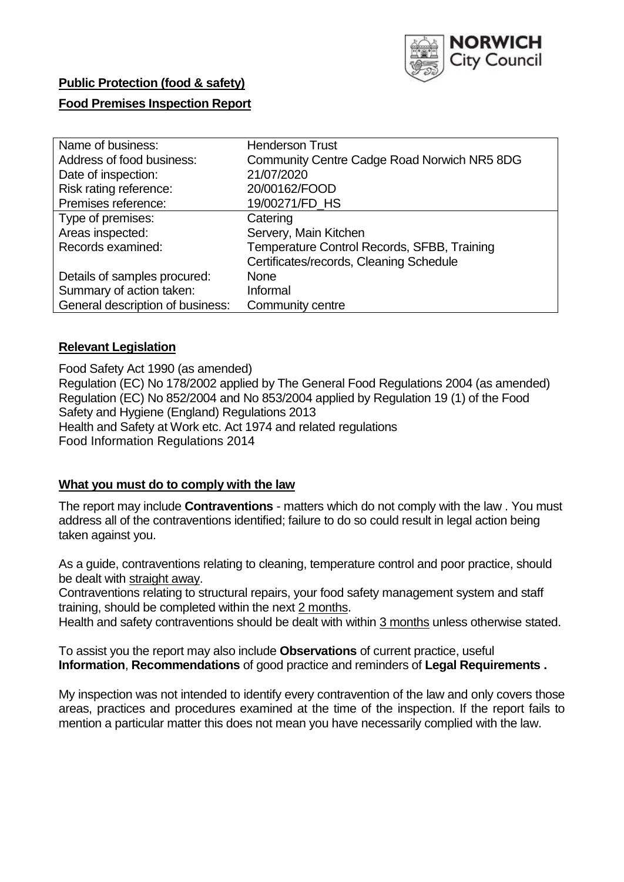

# **Public Protection (food & safety)**

# **Food Premises Inspection Report**

| Name of business:                | <b>Henderson Trust</b>                             |
|----------------------------------|----------------------------------------------------|
| Address of food business:        | <b>Community Centre Cadge Road Norwich NR5 8DG</b> |
| Date of inspection:              | 21/07/2020                                         |
| Risk rating reference:           | 20/00162/FOOD                                      |
| Premises reference:              | 19/00271/FD_HS                                     |
| Type of premises:                | Catering                                           |
| Areas inspected:                 | Servery, Main Kitchen                              |
| Records examined:                | Temperature Control Records, SFBB, Training        |
|                                  | Certificates/records, Cleaning Schedule            |
| Details of samples procured:     | <b>None</b>                                        |
| Summary of action taken:         | Informal                                           |
| General description of business: | Community centre                                   |

## **Relevant Legislation**

 Food Safety Act 1990 (as amended) Regulation (EC) No 178/2002 applied by The General Food Regulations 2004 (as amended) Regulation (EC) No 852/2004 and No 853/2004 applied by Regulation 19 (1) of the Food Safety and Hygiene (England) Regulations 2013 Health and Safety at Work etc. Act 1974 and related regulations Food Information Regulations 2014

## **What you must do to comply with the law**

 The report may include **Contraventions** - matters which do not comply with the law . You must address all of the contraventions identified; failure to do so could result in legal action being taken against you.

 As a guide, contraventions relating to cleaning, temperature control and poor practice, should be dealt with straight away.

 Contraventions relating to structural repairs, your food safety management system and staff training, should be completed within the next 2 months.

Health and safety contraventions should be dealt with within 3 months unless otherwise stated.

 To assist you the report may also include **Observations** of current practice, useful **Information**, **Recommendations** of good practice and reminders of **Legal Requirements .** 

 My inspection was not intended to identify every contravention of the law and only covers those areas, practices and procedures examined at the time of the inspection. If the report fails to mention a particular matter this does not mean you have necessarily complied with the law.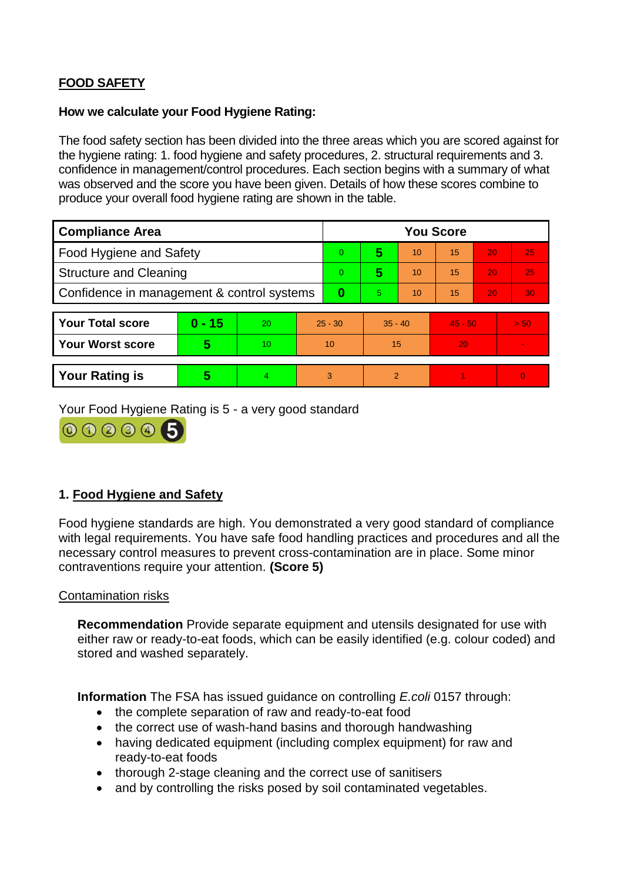# **FOOD SAFETY**

#### **How we calculate your Food Hygiene Rating:**

 The food safety section has been divided into the three areas which you are scored against for the hygiene rating: 1. food hygiene and safety procedures, 2. structural requirements and 3. confidence in management/control procedures. Each section begins with a summary of what was observed and the score you have been given. Details of how these scores combine to produce your overall food hygiene rating are shown in the table.

| <b>Compliance Area</b>                     |          |    |           | <b>You Score</b> |                |    |           |    |          |  |  |
|--------------------------------------------|----------|----|-----------|------------------|----------------|----|-----------|----|----------|--|--|
| Food Hygiene and Safety                    |          |    | $\Omega$  | 5                | 10             | 15 | 20        | 25 |          |  |  |
| <b>Structure and Cleaning</b>              |          |    | $\Omega$  | 5                | 10             | 15 | 20        | 25 |          |  |  |
| Confidence in management & control systems |          |    | 0         | 5.               | 10             | 15 | 20        | 30 |          |  |  |
|                                            |          |    |           |                  |                |    |           |    |          |  |  |
| <b>Your Total score</b>                    | $0 - 15$ | 20 | $25 - 30$ |                  | $35 - 40$      |    | $45 - 50$ |    | > 50     |  |  |
| <b>Your Worst score</b>                    | 5        | 10 |           | 10               | 15             |    | 20        |    |          |  |  |
|                                            |          |    |           |                  |                |    |           |    |          |  |  |
| <b>Your Rating is</b>                      | 5        |    | 3         |                  | $\overline{2}$ |    |           |    | $\Omega$ |  |  |

Your Food Hygiene Rating is 5 - a very good standard



# **1. Food Hygiene and Safety**

 with legal requirements. You have safe food handling practices and procedures and all the Food hygiene standards are high. You demonstrated a very good standard of compliance necessary control measures to prevent cross-contamination are in place. Some minor contraventions require your attention. **(Score 5)** 

## Contamination risks

**Recommendation** Provide separate equipment and utensils designated for use with either raw or ready-to-eat foods, which can be easily identified (e.g. colour coded) and stored and washed separately.

**Information** The FSA has issued guidance on controlling *E.coli* 0157 through:

- the complete separation of raw and ready-to-eat food
- the correct use of wash-hand basins and thorough handwashing
- having dedicated equipment (including complex equipment) for raw and ready-to-eat foods
- thorough 2-stage cleaning and the correct use of sanitisers
- and by controlling the risks posed by soil contaminated vegetables.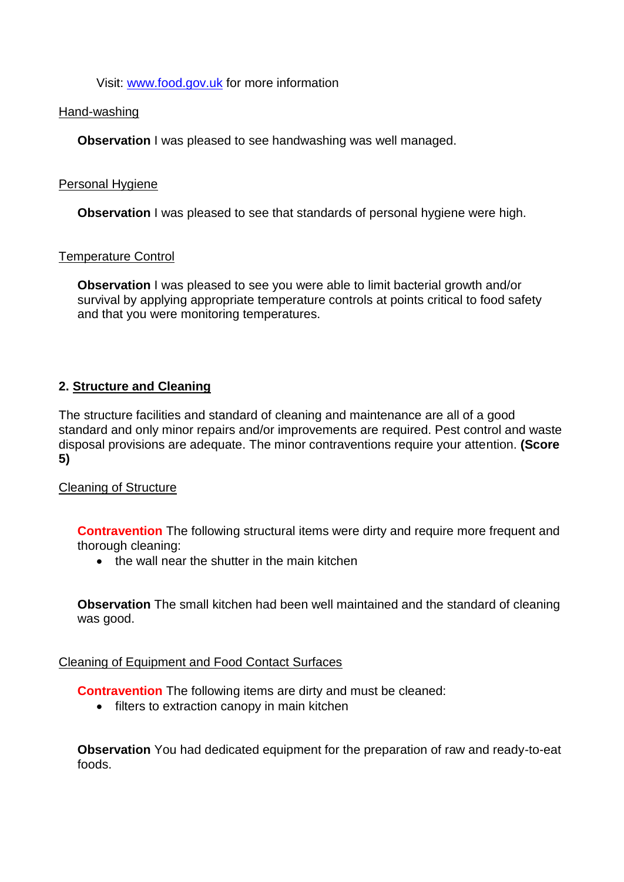Visit: [www.food.gov.uk](http://www.food.gov.uk/) for more information

#### Hand-washing

**Observation** I was pleased to see handwashing was well managed.

#### Personal Hygiene

**Observation** I was pleased to see that standards of personal hygiene were high.

## Temperature Control

 survival by applying appropriate temperature controls at points critical to food safety **Observation** I was pleased to see you were able to limit bacterial growth and/or and that you were monitoring temperatures.

# **2. Structure and Cleaning**

The structure facilities and standard of cleaning and maintenance are all of a good standard and only minor repairs and/or improvements are required. Pest control and waste disposal provisions are adequate. The minor contraventions require your attention. **(Score 5)** 

## Cleaning of Structure

**Contravention** The following structural items were dirty and require more frequent and thorough cleaning:

• the wall near the shutter in the main kitchen

**Observation** The small kitchen had been well maintained and the standard of cleaning was good.

## Cleaning of Equipment and Food Contact Surfaces

**Contravention** The following items are dirty and must be cleaned:

• filters to extraction canopy in main kitchen

 **Observation** You had dedicated equipment for the preparation of raw and ready-to-eat foods.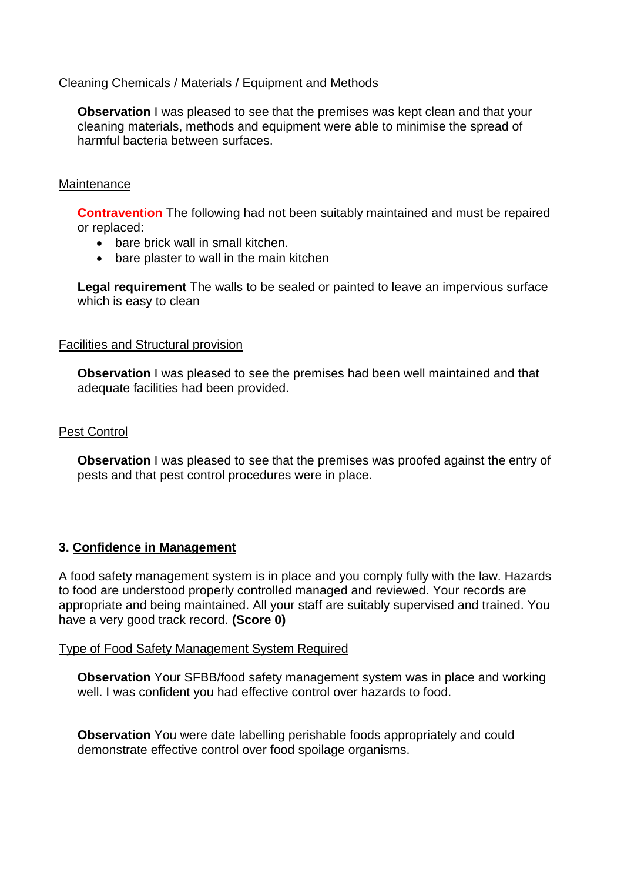## Cleaning Chemicals / Materials / Equipment and Methods

 cleaning materials, methods and equipment were able to minimise the spread of **Observation** I was pleased to see that the premises was kept clean and that your harmful bacteria between surfaces.

#### **Maintenance**

**Contravention** The following had not been suitably maintained and must be repaired or replaced:

- bare brick wall in small kitchen.
- bare plaster to wall in the main kitchen

**Legal requirement** The walls to be sealed or painted to leave an impervious surface which is easy to clean

#### Facilities and Structural provision

 **Observation** I was pleased to see the premises had been well maintained and that adequate facilities had been provided.

#### Pest Control

**Observation** I was pleased to see that the premises was proofed against the entry of pests and that pest control procedures were in place.

## **3. Confidence in Management**

 to food are understood properly controlled managed and reviewed. Your records are A food safety management system is in place and you comply fully with the law. Hazards appropriate and being maintained. All your staff are suitably supervised and trained. You have a very good track record. **(Score 0)** 

#### Type of Food Safety Management System Required

 well. I was confident you had effective control over hazards to food. **Observation** Your SFBB/food safety management system was in place and working

**Observation** You were date labelling perishable foods appropriately and could demonstrate effective control over food spoilage organisms.